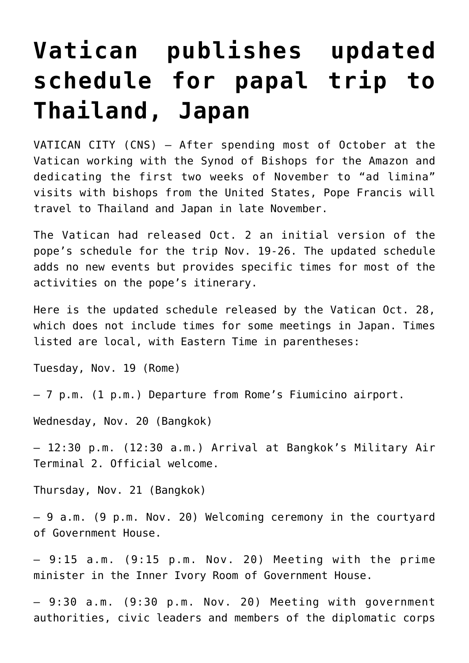## **[Vatican publishes updated](https://www.osvnews.com/2019/10/29/vatican-publishes-updated-schedule-for-papal-trip-to-thailand-japan/) [schedule for papal trip to](https://www.osvnews.com/2019/10/29/vatican-publishes-updated-schedule-for-papal-trip-to-thailand-japan/) [Thailand, Japan](https://www.osvnews.com/2019/10/29/vatican-publishes-updated-schedule-for-papal-trip-to-thailand-japan/)**

VATICAN CITY (CNS) — After spending most of October at the Vatican working with the Synod of Bishops for the Amazon and dedicating the first two weeks of November to "ad limina" visits with bishops from the United States, Pope Francis will travel to Thailand and Japan in late November.

The Vatican had released Oct. 2 an initial version of the pope's schedule for the trip Nov. 19-26. The updated schedule adds no new events but provides specific times for most of the activities on the pope's itinerary.

Here is the updated schedule released by the Vatican Oct. 28, which does not include times for some meetings in Japan. Times listed are local, with Eastern Time in parentheses:

Tuesday, Nov. 19 (Rome)

— 7 p.m. (1 p.m.) Departure from Rome's Fiumicino airport.

Wednesday, Nov. 20 (Bangkok)

— 12:30 p.m. (12:30 a.m.) Arrival at Bangkok's Military Air Terminal 2. Official welcome.

Thursday, Nov. 21 (Bangkok)

— 9 a.m. (9 p.m. Nov. 20) Welcoming ceremony in the courtyard of Government House.

 $-9:15$  a.m.  $(9:15$  p.m. Nov. 20) Meeting with the prime minister in the Inner Ivory Room of Government House.

— 9:30 a.m. (9:30 p.m. Nov. 20) Meeting with government authorities, civic leaders and members of the diplomatic corps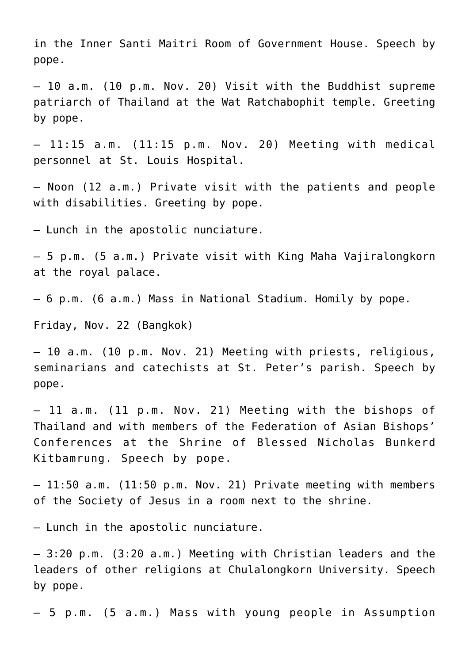in the Inner Santi Maitri Room of Government House. Speech by pope.

— 10 a.m. (10 p.m. Nov. 20) Visit with the Buddhist supreme patriarch of Thailand at the Wat Ratchabophit temple. Greeting by pope.

 $-11:15$  a.m. (11:15 p.m. Nov. 20) Meeting with medical personnel at St. Louis Hospital.

— Noon (12 a.m.) Private visit with the patients and people with disabilities. Greeting by pope.

— Lunch in the apostolic nunciature.

— 5 p.m. (5 a.m.) Private visit with King Maha Vajiralongkorn at the royal palace.

— 6 p.m. (6 a.m.) Mass in National Stadium. Homily by pope.

Friday, Nov. 22 (Bangkok)

— 10 a.m. (10 p.m. Nov. 21) Meeting with priests, religious, seminarians and catechists at St. Peter's parish. Speech by pope.

— 11 a.m. (11 p.m. Nov. 21) Meeting with the bishops of Thailand and with members of the Federation of Asian Bishops' Conferences at the Shrine of Blessed Nicholas Bunkerd Kitbamrung. Speech by pope.

— 11:50 a.m. (11:50 p.m. Nov. 21) Private meeting with members of the Society of Jesus in a room next to the shrine.

— Lunch in the apostolic nunciature.

— 3:20 p.m. (3:20 a.m.) Meeting with Christian leaders and the leaders of other religions at Chulalongkorn University. Speech by pope.

— 5 p.m. (5 a.m.) Mass with young people in Assumption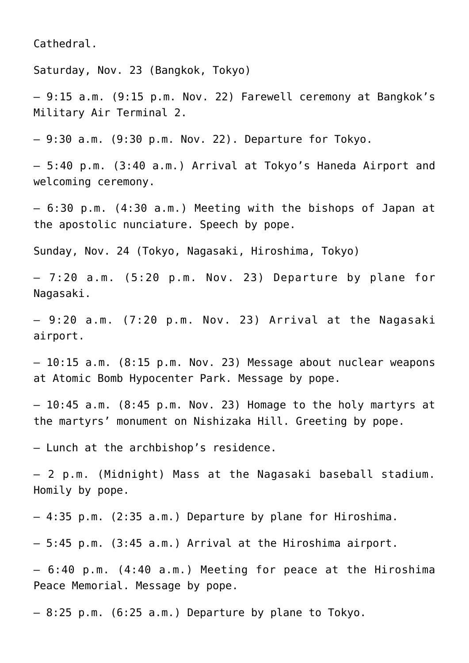Cathedral.

Saturday, Nov. 23 (Bangkok, Tokyo)

— 9:15 a.m. (9:15 p.m. Nov. 22) Farewell ceremony at Bangkok's Military Air Terminal 2.

 $-9:30$  a.m.  $(9:30$  p.m. Nov. 22). Departure for Tokyo.

— 5:40 p.m. (3:40 a.m.) Arrival at Tokyo's Haneda Airport and welcoming ceremony.

— 6:30 p.m. (4:30 a.m.) Meeting with the bishops of Japan at the apostolic nunciature. Speech by pope.

Sunday, Nov. 24 (Tokyo, Nagasaki, Hiroshima, Tokyo)

 $-7:20$  a.m.  $(5:20$  p.m. Nov. 23) Departure by plane for Nagasaki.

 $-9:20$  a.m.  $(7:20$  p.m. Nov. 23) Arrival at the Nagasaki airport.

— 10:15 a.m. (8:15 p.m. Nov. 23) Message about nuclear weapons at Atomic Bomb Hypocenter Park. Message by pope.

— 10:45 a.m. (8:45 p.m. Nov. 23) Homage to the holy martyrs at the martyrs' monument on Nishizaka Hill. Greeting by pope.

— Lunch at the archbishop's residence.

— 2 p.m. (Midnight) Mass at the Nagasaki baseball stadium. Homily by pope.

— 4:35 p.m. (2:35 a.m.) Departure by plane for Hiroshima.

— 5:45 p.m. (3:45 a.m.) Arrival at the Hiroshima airport.

— 6:40 p.m. (4:40 a.m.) Meeting for peace at the Hiroshima Peace Memorial. Message by pope.

 $-8:25$  p.m. (6:25 a.m.) Departure by plane to Tokyo.